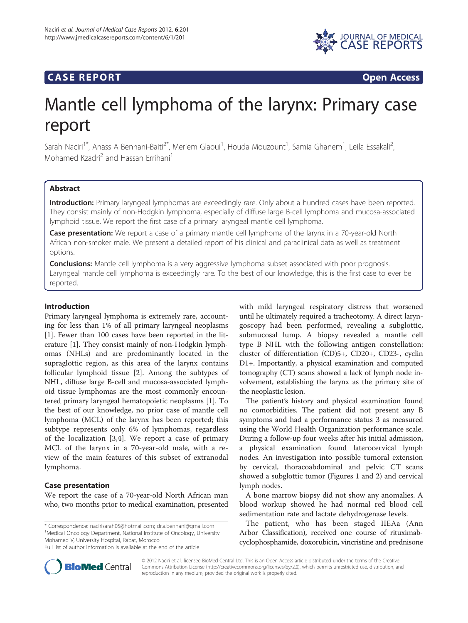

## **CASE REPORT CASE REPORT**

# Mantle cell lymphoma of the larynx: Primary case report

Sarah Naciri<sup>1\*</sup>, Anass A Bennani-Baiti<sup>2\*</sup>, Meriem Glaoui<sup>1</sup>, Houda Mouzount<sup>1</sup>, Samia Ghanem<sup>1</sup>, Leila Essakali<sup>2</sup> , Mohamed Kzadri<sup>2</sup> and Hassan Errihani<sup>1</sup>

## **Abstract**

Introduction: Primary laryngeal lymphomas are exceedingly rare. Only about a hundred cases have been reported. They consist mainly of non-Hodgkin lymphoma, especially of diffuse large B-cell lymphoma and mucosa-associated lymphoid tissue. We report the first case of a primary laryngeal mantle cell lymphoma.

Case presentation: We report a case of a primary mantle cell lymphoma of the larynx in a 70-year-old North African non-smoker male. We present a detailed report of his clinical and paraclinical data as well as treatment options.

**Conclusions:** Mantle cell lymphoma is a very aggressive lymphoma subset associated with poor prognosis. Laryngeal mantle cell lymphoma is exceedingly rare. To the best of our knowledge, this is the first case to ever be reported.

## Introduction

Primary laryngeal lymphoma is extremely rare, accounting for less than 1% of all primary laryngeal neoplasms [[1\]](#page-2-0). Fewer than 100 cases have been reported in the literature [\[1](#page-2-0)]. They consist mainly of non-Hodgkin lymphomas (NHLs) and are predominantly located in the supraglottic region, as this area of the larynx contains follicular lymphoid tissue [\[2\]](#page-2-0). Among the subtypes of NHL, diffuse large B-cell and mucosa-associated lymphoid tissue lymphomas are the most commonly encountered primary laryngeal hematopoietic neoplasms [[1](#page-2-0)]. To the best of our knowledge, no prior case of mantle cell lymphoma (MCL) of the larynx has been reported; this subtype represents only 6% of lymphomas, regardless of the localization [[3,4\]](#page-2-0). We report a case of primary MCL of the larynx in a 70-year-old male, with a review of the main features of this subset of extranodal lymphoma.

## Case presentation

We report the case of a 70-year-old North African man who, two months prior to medical examination, presented

\* Correspondence: [nacirisarah05@hotmail.com](mailto:nacirisarah05@hotmail.com); [dr.a.bennani@gmail.com](mailto:dr.a.bennani@gmail.com) <sup>1</sup> <sup>1</sup>Medical Oncology Department, National Institute of Oncology, University Mohamed V, University Hospital, Rabat, Morocco

Full list of author information is available at the end of the article

with mild laryngeal respiratory distress that worsened until he ultimately required a tracheotomy. A direct laryngoscopy had been performed, revealing a subglottic, submucosal lump. A biopsy revealed a mantle cell type B NHL with the following antigen constellation: cluster of differentiation (CD)5+, CD20+, CD23-, cyclin D1+. Importantly, a physical examination and computed tomography (CT) scans showed a lack of lymph node involvement, establishing the larynx as the primary site of the neoplastic lesion.

The patient's history and physical examination found no comorbidities. The patient did not present any B symptoms and had a performance status 3 as measured using the World Health Organization performance scale. During a follow-up four weeks after his initial admission, a physical examination found laterocervical lymph nodes. An investigation into possible tumoral extension by cervical, thoracoabdominal and pelvic CT scans showed a subglottic tumor (Figures [1](#page-1-0) and [2](#page-1-0)) and cervical lymph nodes.

A bone marrow biopsy did not show any anomalies. A blood workup showed he had normal red blood cell sedimentation rate and lactate dehydrogenase levels.

The patient, who has been staged IIEAa (Ann Arbor Classification), received one course of rituximabcyclophosphamide, doxorubicin, vincristine and prednisone



© 2012 Naciri et al.; licensee BioMed Central Ltd. This is an Open Access article distributed under the terms of the Creative Commons Attribution License [\(http://creativecommons.org/licenses/by/2.0\)](http://creativecommons.org/licenses/by/2.0), which permits unrestricted use, distribution, and reproduction in any medium, provided the original work is properly cited.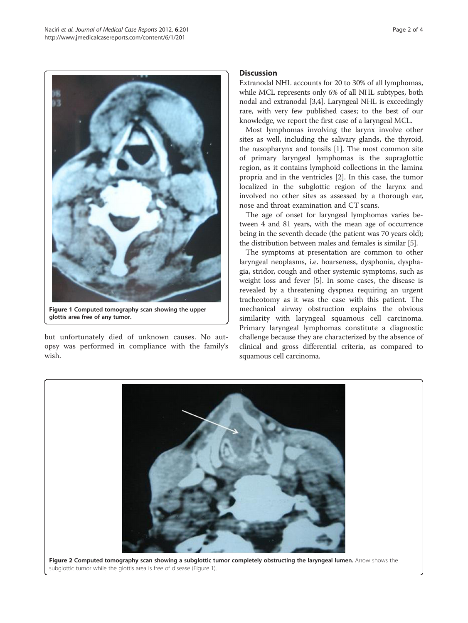<span id="page-1-0"></span>

glottis area free of any tumor.

but unfortunately died of unknown causes. No autopsy was performed in compliance with the family's wish.

## Discussion

Extranodal NHL accounts for 20 to 30% of all lymphomas, while MCL represents only 6% of all NHL subtypes, both nodal and extranodal [\[3,4\]](#page-2-0). Laryngeal NHL is exceedingly rare, with very few published cases; to the best of our knowledge, we report the first case of a laryngeal MCL.

Most lymphomas involving the larynx involve other sites as well, including the salivary glands, the thyroid, the nasopharynx and tonsils [[1\]](#page-2-0). The most common site of primary laryngeal lymphomas is the supraglottic region, as it contains lymphoid collections in the lamina propria and in the ventricles [[2\]](#page-2-0). In this case, the tumor localized in the subglottic region of the larynx and involved no other sites as assessed by a thorough ear, nose and throat examination and CT scans.

The age of onset for laryngeal lymphomas varies between 4 and 81 years, with the mean age of occurrence being in the seventh decade (the patient was 70 years old); the distribution between males and females is similar [\[5\]](#page-2-0).

The symptoms at presentation are common to other laryngeal neoplasms, i.e. hoarseness, dysphonia, dysphagia, stridor, cough and other systemic symptoms, such as weight loss and fever [[5\]](#page-2-0). In some cases, the disease is revealed by a threatening dyspnea requiring an urgent tracheotomy as it was the case with this patient. The mechanical airway obstruction explains the obvious similarity with laryngeal squamous cell carcinoma. Primary laryngeal lymphomas constitute a diagnostic challenge because they are characterized by the absence of clinical and gross differential criteria, as compared to squamous cell carcinoma.



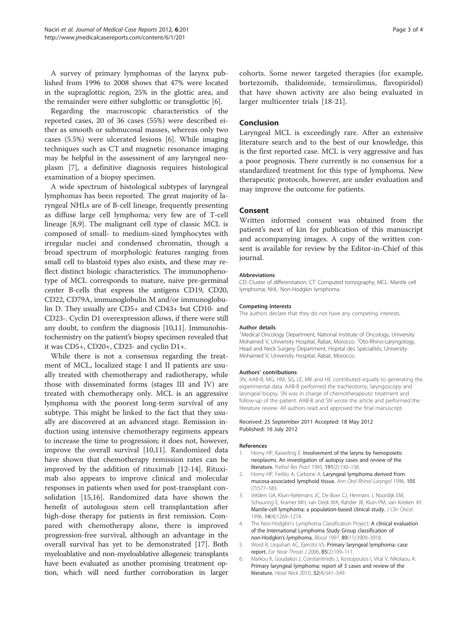<span id="page-2-0"></span>A survey of primary lymphomas of the larynx published from 1996 to 2008 shows that 47% were located in the supraglottic region, 25% in the glottic area, and the remainder were either subglottic or transglottic [6].

Regarding the macroscopic characteristics of the reported cases, 20 of 36 cases (55%) were described either as smooth or submucosal masses, whereas only two cases (5.5%) were ulcerated lesions [6]. While imaging techniques such as CT and magnetic resonance imaging may be helpful in the assessment of any laryngeal neoplasm [\[7](#page-3-0)], a definitive diagnosis requires histological examination of a biopsy specimen.

A wide spectrum of histological subtypes of laryngeal lymphomas has been reported. The great majority of laryngeal NHLs are of B-cell lineage, frequently presenting as diffuse large cell lymphoma; very few are of T-cell lineage [\[8,9](#page-3-0)]. The malignant cell type of classic MCL is composed of small- to medium-sized lymphocytes with irregular nuclei and condensed chromatin, though a broad spectrum of morphologic features ranging from small cell to blastoid types also exists, and these may reflect distinct biologic characteristics. The immunophenotype of MCL corresponds to mature, naive pre-germinal center B-cells that express the antigens CD19, CD20, CD22, CD79A, immunoglobulin M and/or immunoglobulin D. They usually are CD5+ and CD43+ but CD10- and CD23-. Cyclin D1 overexpression allows, if there were still any doubt, to confirm the diagnosis [\[10,11\]](#page-3-0). Immunohistochemistry on the patient's biopsy specimen revealed that it was CD5+, CD20+, CD23- and cyclin D1+.

While there is not a consensus regarding the treatment of MCL, localized stage I and II patients are usually treated with chemotherapy and radiotherapy, while those with disseminated forms (stages III and IV) are treated with chemotherapy only. MCL is an aggressive lymphoma with the poorest long-term survival of any subtype. This might be linked to the fact that they usually are discovered at an advanced stage. Remission induction using intensive chemotherapy regimens appears to increase the time to progression; it does not, however, improve the overall survival [\[10,11](#page-3-0)]. Randomized data have shown that chemotherapy remission rates can be improved by the addition of rituximab [\[12](#page-3-0)-[14\]](#page-3-0). Rituximab also appears to improve clinical and molecular responses in patients when used for post-transplant consolidation [\[15,16\]](#page-3-0). Randomized data have shown the benefit of autologous stem cell transplantation after high-dose therapy for patients in first remission. Compared with chemotherapy alone, there is improved progression-free survival, although an advantage in the overall survival has yet to be demonstrated [\[17](#page-3-0)]. Both myeloablative and non-myeloablative allogeneic transplants have been evaluated as another promising treatment option, which will need further corroboration in larger cohorts. Some newer targeted therapies (for example, bortezomib, thalidomide, temsirolimus, flavopiridol) that have shown activity are also being evaluated in larger multicenter trials [[18-21](#page-3-0)].

## Conclusion

Laryngeal MCL is exceedingly rare. After an extensive literature search and to the best of our knowledge, this is the first reported case. MCL is very aggressive and has a poor prognosis. There currently is no consensus for a standardized treatment for this type of lymphoma. New therapeutic protocols, however, are under evaluation and may improve the outcome for patients.

### Consent

Written informed consent was obtained from the patient's next of kin for publication of this manuscript and accompanying images. A copy of the written consent is available for review by the Editor-in-Chief of this journal.

#### Abbreviations

CD: Cluster of differentiation; CT: Computed tomography; MCL: Mantle cell lymphoma; NHL: Non-Hodgkin lymphoma.

#### Competing interests

The authors declare that they do not have any competing interests.

#### Author details

<sup>1</sup>Medical Oncology Department, National Institute of Oncology, University Mohamed V, University Hospital, Rabat, Morocco. <sup>2</sup>Oto-Rhino-Laryngology Head and Neck Surgery Department, Hopital des Spécialités, University Mohamed V, University Hospital, Rabat, Morocco.

#### Authors' contributions

SN, AAB-B, MG, HM, SG, LE, MK and HE contributed equally to generating the experimental data. AAB-B performed the tracheotomy, laryngoscopy and laryngeal biopsy. SN was in charge of chemotherapeutic treatment and follow-up of the patient. AAB-B and SN wrote the article and performed the literature review. All authors read and approved the final manuscript.

#### Received: 25 September 2011 Accepted: 18 May 2012 Published: 16 July 2012

#### References

- 1. Horny HP, Kaiserling E: Involvement of the larynx by hemopoietic neoplasms. An investigation of autopsy cases and review of the literature. Pathol Res Pract 1995, 191(2):130–138.
- 2. Horny HP, Ferlito A, Carbone A: Laryngeal lymphoma derived from mucosa-associated lymphoid tissue. Ann Otol Rhinol Laryngol 1996, 105 (7):577–583.
- 3. Velders GA, Kluin-Nelemans JC, De Boer CJ, Hermans J, Noordijk EM, Schuuring E, Kramer MH, van Deijk WA, Rahder JB, Kluin PM, van Krieken JH: Mantle-cell lymphoma: a population-based clinical study. J Clin Oncol 1996, 14(4):1269–1274.
- 4. The Non-Hodgkin's Lymphoma Classification Project: A clinical evaluation of the International Lymphoma Study Group classification of non-Hodgkin's lymphoma. Blood 1997, 89(11):3909–3918.
- 5. Word R, Urquhart AC, Ejercito VS: Primary laryngeal lymphoma: case report. Ear Nose Throat J 2006, 85(2):109–111.
- 6. Markou K, Goudakos J, Constantinidis J, Kostopoulos I, Vital V, Nikolaou A: Primary laryngeal lymphoma: report of 3 cases and review of the literature. Head Neck 2010, 32(4):541–549.